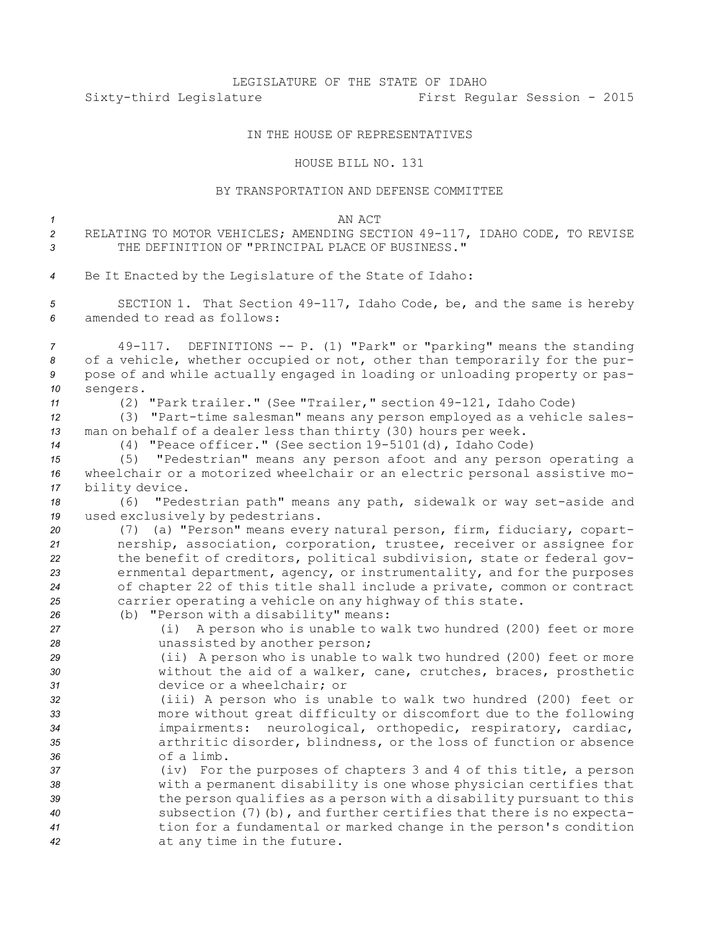## LEGISLATURE OF THE STATE OF IDAHO Sixty-third Legislature First Regular Session - 2015

## IN THE HOUSE OF REPRESENTATIVES

## HOUSE BILL NO. 131

## BY TRANSPORTATION AND DEFENSE COMMITTEE

| $\mathcal{I}$<br>$\overline{2}$<br>$\mathbf{3}$ | AN ACT<br>RELATING TO MOTOR VEHICLES; AMENDING SECTION 49-117, IDAHO CODE, TO REVISE<br>THE DEFINITION OF "PRINCIPAL PLACE OF BUSINESS."                                                                                                                                                                         |
|-------------------------------------------------|------------------------------------------------------------------------------------------------------------------------------------------------------------------------------------------------------------------------------------------------------------------------------------------------------------------|
| $\overline{4}$                                  | Be It Enacted by the Legislature of the State of Idaho:                                                                                                                                                                                                                                                          |
| 5<br>6                                          | SECTION 1. That Section 49-117, Idaho Code, be, and the same is hereby<br>amended to read as follows:                                                                                                                                                                                                            |
| $\overline{7}$<br>8<br>9<br>10<br>11            | 49-117. DEFINITIONS -- P. (1) "Park" or "parking" means the standing<br>of a vehicle, whether occupied or not, other than temporarily for the pur-<br>pose of and while actually engaged in loading or unloading property or pas-<br>sengers.<br>(2) "Park trailer." (See "Trailer," section 49-121, Idaho Code) |
| 12<br>13<br>14                                  | (3) "Part-time salesman" means any person employed as a vehicle sales-<br>man on behalf of a dealer less than thirty (30) hours per week.<br>(4) "Peace officer." (See section 19-5101(d), Idaho Code)                                                                                                           |
| 15<br>16<br>17                                  | "Pedestrian" means any person afoot and any person operating a<br>(5)<br>wheelchair or a motorized wheelchair or an electric personal assistive mo-<br>bility device.                                                                                                                                            |
| 18                                              | (6) "Pedestrian path" means any path, sidewalk or way set-aside and                                                                                                                                                                                                                                              |
| 19<br>20                                        | used exclusively by pedestrians.<br>(7) (a) "Person" means every natural person, firm, fiduciary, copart-                                                                                                                                                                                                        |
| 21                                              | nership, association, corporation, trustee, receiver or assignee for                                                                                                                                                                                                                                             |
| 22<br>23<br>24                                  | the benefit of creditors, political subdivision, state or federal gov-<br>ernmental department, agency, or instrumentality, and for the purposes<br>of chapter 22 of this title shall include a private, common or contract                                                                                      |
| 25                                              | carrier operating a vehicle on any highway of this state.<br>(b) "Person with a disability" means:                                                                                                                                                                                                               |
| 26<br>27                                        | A person who is unable to walk two hundred (200) feet or more<br>(i)                                                                                                                                                                                                                                             |
| 28                                              | unassisted by another person;                                                                                                                                                                                                                                                                                    |
| 29<br>30                                        | (ii) A person who is unable to walk two hundred (200) feet or more<br>without the aid of a walker, cane, crutches, braces, prosthetic                                                                                                                                                                            |
| 31                                              | device or a wheelchair; or                                                                                                                                                                                                                                                                                       |
| 32                                              | (iii) A person who is unable to walk two hundred (200) feet or                                                                                                                                                                                                                                                   |
| 33                                              | more without great difficulty or discomfort due to the following                                                                                                                                                                                                                                                 |
| 34                                              | impairments: neurological, orthopedic, respiratory, cardiac,                                                                                                                                                                                                                                                     |
| 35<br>36                                        | arthritic disorder, blindness, or the loss of function or absence<br>of a limb.                                                                                                                                                                                                                                  |
| 37                                              | (iv) For the purposes of chapters 3 and 4 of this title, a person                                                                                                                                                                                                                                                |
| 38                                              | with a permanent disability is one whose physician certifies that                                                                                                                                                                                                                                                |
| 39                                              | the person qualifies as a person with a disability pursuant to this                                                                                                                                                                                                                                              |
| 40                                              | subsection (7) (b), and further certifies that there is no expecta-                                                                                                                                                                                                                                              |
| 41<br>42                                        | tion for a fundamental or marked change in the person's condition<br>at any time in the future.                                                                                                                                                                                                                  |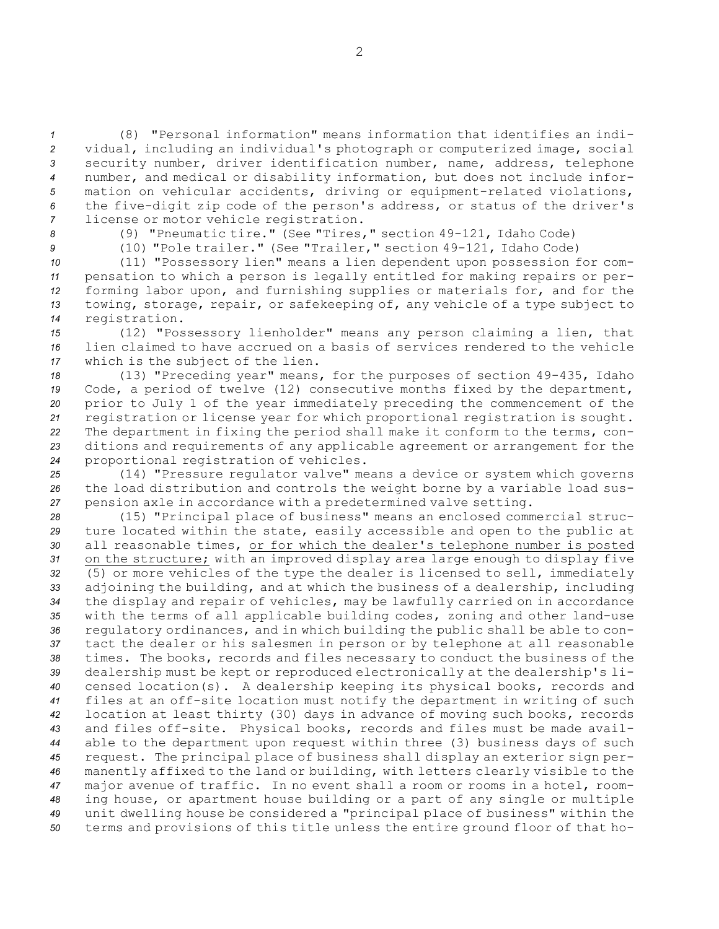(8) "Personal information" means information that identifies an indi- vidual, including an individual's photograph or computerized image, social security number, driver identification number, name, address, telephone number, and medical or disability information, but does not include infor- mation on vehicular accidents, driving or equipment-related violations, the five-digit zip code of the person's address, or status of the driver's license or motor vehicle registration.

*<sup>8</sup>* (9) "Pneumatic tire." (See "Tires," section 49-121, Idaho Code)

*<sup>9</sup>* (10) "Pole trailer." (See "Trailer," section 49-121, Idaho Code)

 (11) "Possessory lien" means <sup>a</sup> lien dependent upon possession for com- pensation to which <sup>a</sup> person is legally entitled for making repairs or per- forming labor upon, and furnishing supplies or materials for, and for the towing, storage, repair, or safekeeping of, any vehicle of <sup>a</sup> type subject to registration.

*<sup>15</sup>* (12) "Possessory lienholder" means any person claiming <sup>a</sup> lien, that *16* lien claimed to have accrued on <sup>a</sup> basis of services rendered to the vehicle *<sup>17</sup>* which is the subject of the lien.

 (13) "Preceding year" means, for the purposes of section 49-435, Idaho Code, <sup>a</sup> period of twelve (12) consecutive months fixed by the department, prior to July 1 of the year immediately preceding the commencement of the registration or license year for which proportional registration is sought. The department in fixing the period shall make it conform to the terms, con- ditions and requirements of any applicable agreement or arrangement for the proportional registration of vehicles.

*<sup>25</sup>* (14) "Pressure regulator valve" means <sup>a</sup> device or system which governs *<sup>26</sup>* the load distribution and controls the weight borne by <sup>a</sup> variable load sus-*<sup>27</sup>* pension axle in accordance with <sup>a</sup> predetermined valve setting.

 (15) "Principal place of business" means an enclosed commercial struc- ture located within the state, easily accessible and open to the public at all reasonable times, or for which the dealer's telephone number is posted on the structure; with an improved display area large enough to display five (5) or more vehicles of the type the dealer is licensed to sell, immediately adjoining the building, and at which the business of <sup>a</sup> dealership, including the display and repair of vehicles, may be lawfully carried on in accordance with the terms of all applicable building codes, zoning and other land-use regulatory ordinances, and in which building the public shall be able to con- tact the dealer or his salesmen in person or by telephone at all reasonable times. The books, records and files necessary to conduct the business of the dealership must be kept or reproduced electronically at the dealership's li- censed location(s). <sup>A</sup> dealership keeping its physical books, records and files at an off-site location must notify the department in writing of such location at least thirty (30) days in advance of moving such books, records and files off-site. Physical books, records and files must be made avail- able to the department upon request within three (3) business days of such request. The principal place of business shall display an exterior sign per- manently affixed to the land or building, with letters clearly visible to the major avenue of traffic. In no event shall <sup>a</sup> room or rooms in <sup>a</sup> hotel, room- ing house, or apartment house building or <sup>a</sup> part of any single or multiple unit dwelling house be considered <sup>a</sup> "principal place of business" within the terms and provisions of this title unless the entire ground floor of that ho-